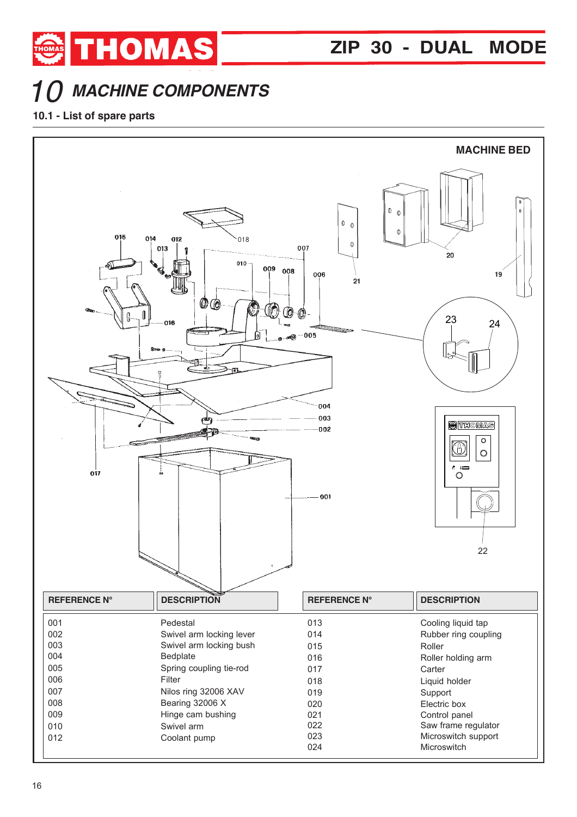

## *MACHINE COMPONENTS*

THOMAS

## **10.1 - List of spare parts**

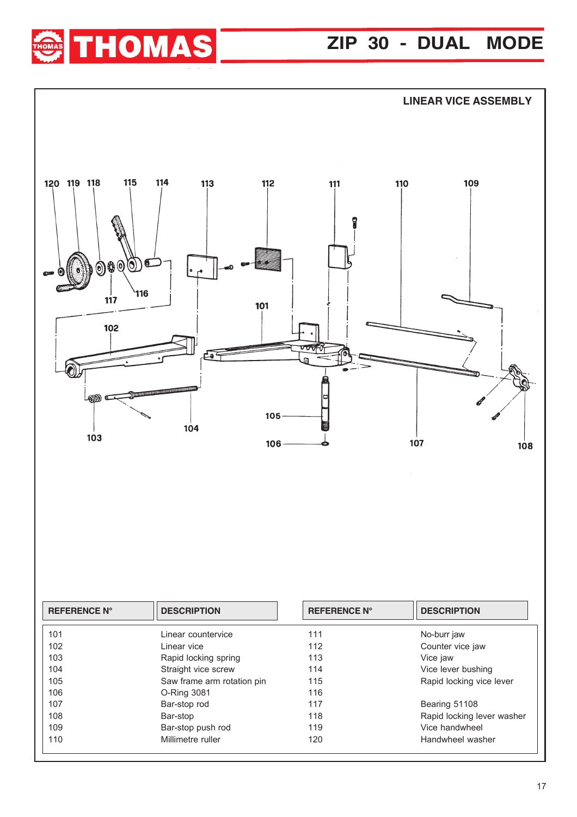## **ZIP 30 - DUAL MODE**





| <b>REFERENCE N°</b> | <b>DESCRIPTION</b>         | <b>REFERENCE N°</b> | <b>DESCRIPTION</b>         |
|---------------------|----------------------------|---------------------|----------------------------|
| 101                 | Linear countervice         | 111                 | No-burr jaw                |
| 102                 | Linear vice                | 112                 | Counter vice jaw           |
| 103                 | Rapid locking spring       | 113                 | Vice jaw                   |
| 104                 | Straight vice screw        | 114                 | Vice lever bushing         |
| 105                 | Saw frame arm rotation pin | 115                 | Rapid locking vice lever   |
| 106                 | O-Ring 3081                | 116                 |                            |
| 107                 | Bar-stop rod               | 117                 | Bearing 51108              |
| 108                 | Bar-stop                   | 118                 | Rapid locking lever washer |
| 109                 | Bar-stop push rod          | 119                 | Vice handwheel             |
| 110                 | Millimetre ruller          | 120                 | Handwheel washer           |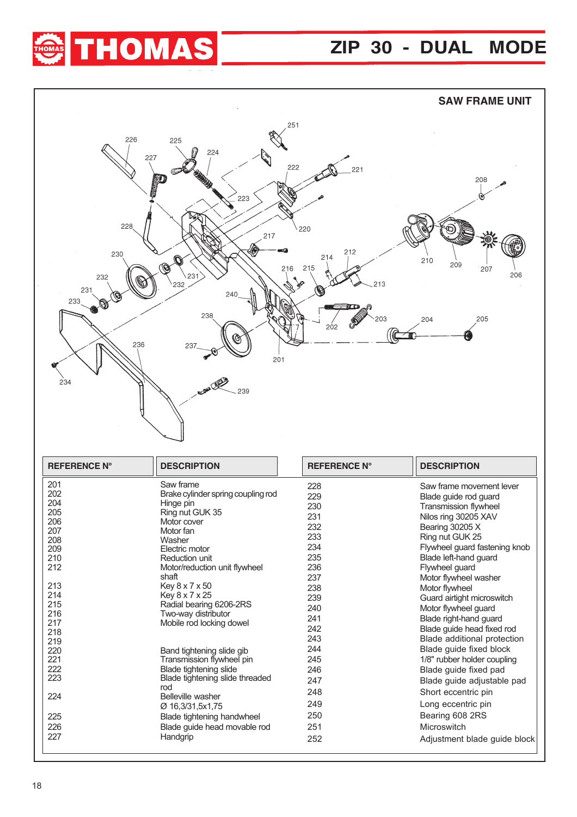



| 201        | Saw frame                          | 228 | Saw frame movement lever      |
|------------|------------------------------------|-----|-------------------------------|
| 202        | Brake cylinder spring coupling rod | 229 | Blade guide rod guard         |
| 204        | Hinge pin                          | 230 | <b>Transmission flywheel</b>  |
| 205        | Ring nut GUK 35                    | 231 | Nilos ring 30205 XAV          |
| 206        | Motor cover                        | 232 | Bearing 30205 X               |
| 207        | Motor fan                          | 233 | Ring nut GUK 25               |
| 208        | Washer                             | 234 | Flywheel guard fastening knob |
| 209<br>210 | Electric motor<br>Reduction unit   | 235 | Blade left-hand guard         |
| 212        | Motor/reduction unit flywheel      | 236 | Flywheel guard                |
|            | shaft                              | 237 |                               |
| 213        | Key 8 x 7 x 50                     |     | Motor flywheel washer         |
| 214        | Key 8 x 7 x 25                     | 238 | Motor flywheel                |
| 215        | Radial bearing 6206-2RS            | 239 | Guard airtight microswitch    |
| 216        | Two-way distributor                | 240 | Motor flywheel guard          |
| 217        | Mobile rod locking dowel           | 241 | Blade right-hand guard        |
| 218        |                                    | 242 | Blade guide head fixed rod    |
| 219        |                                    | 243 | Blade additional protection   |
| 220        | Band tightening slide gib          | 244 | Blade guide fixed block       |
| 221        | Transmission flywheel pin          | 245 | 1/8" rubber holder coupling   |
| 222        | Blade tightening slide             | 246 | Blade guide fixed pad         |
| 223        | Blade tightening slide threaded    | 247 | Blade guide adjustable pad    |
| 224        | rod<br>Belleville washer           | 248 | Short eccentric pin           |
|            | Ø 16,3/31,5x1,75                   | 249 | Long eccentric pin            |
| 225        | Blade tightening handwheel         | 250 | Bearing 608 2RS               |
| 226        | Blade guide head movable rod       | 251 | Microswitch                   |
| 227        | Handgrip                           | 252 | Adjustment blade guide block  |
|            |                                    |     |                               |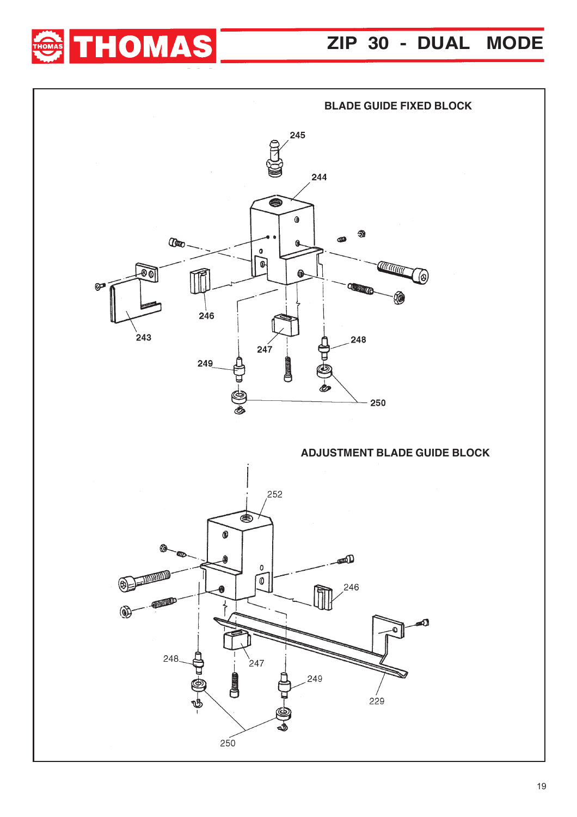

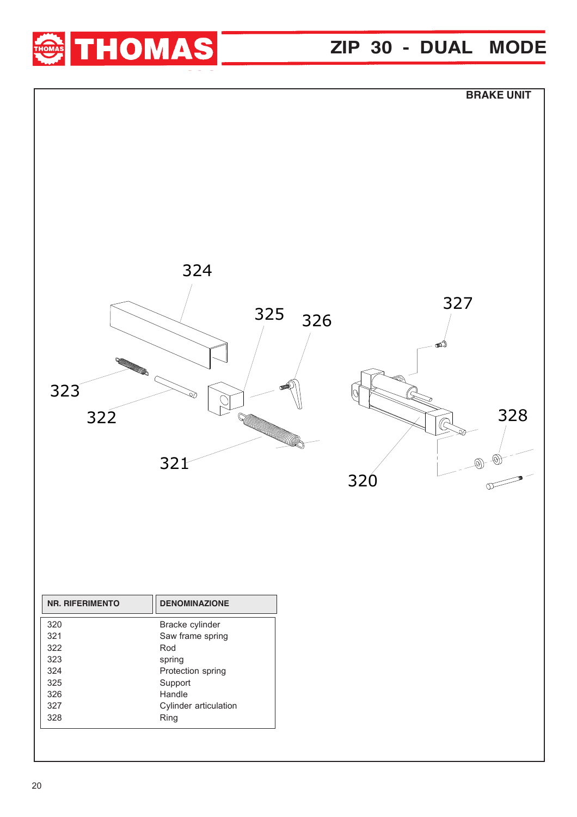

## **ZIP 30 - DUAL MODE**